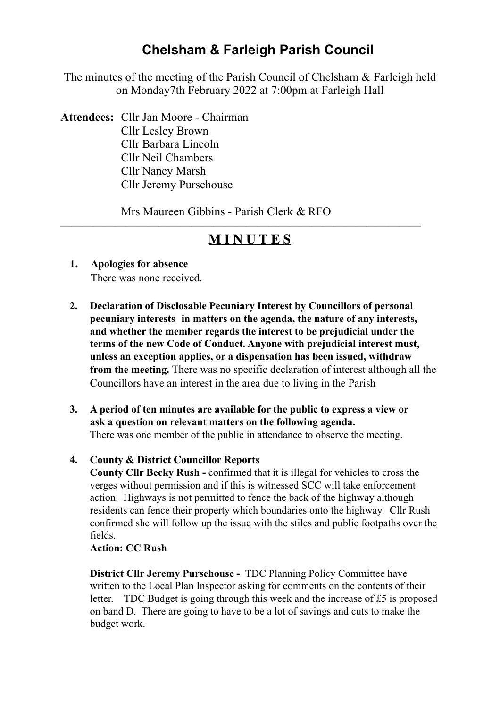# **Chelsham & Farleigh Parish Council**

The minutes of the meeting of the Parish Council of Chelsham & Farleigh held on Monday7th February 2022 at 7:00pm at Farleigh Hall

**Attendees:** Cllr Jan Moore - Chairman Cllr Lesley Brown Cllr Barbara Lincoln Cllr Neil Chambers Cllr Nancy Marsh Cllr Jeremy Pursehouse

Mrs Maureen Gibbins - Parish Clerk & RFO

# **M I N U T E S**

**—————————————————————————————————**

- **1. Apologies for absence** There was none received.
- **2. Declaration of Disclosable Pecuniary Interest by Councillors of personal pecuniary interests in matters on the agenda, the nature of any interests, and whether the member regards the interest to be prejudicial under the terms of the new Code of Conduct. Anyone with prejudicial interest must, unless an exception applies, or a dispensation has been issued, withdraw from the meeting.** There was no specific declaration of interest although all the Councillors have an interest in the area due to living in the Parish
- **3. A period of ten minutes are available for the public to express a view or ask a question on relevant matters on the following agenda.**  There was one member of the public in attendance to observe the meeting.

## **4. County & District Councillor Reports**

 **County Cllr Becky Rush -** confirmed that it is illegal for vehicles to cross the verges without permission and if this is witnessed SCC will take enforcement action. Highways is not permitted to fence the back of the highway although residents can fence their property which boundaries onto the highway. Cllr Rush confirmed she will follow up the issue with the stiles and public footpaths over the fields.

## **Action: CC Rush**

 **District Cllr Jeremy Pursehouse -** TDC Planning Policy Committee have written to the Local Plan Inspector asking for comments on the contents of their letter. TDC Budget is going through this week and the increase of £5 is proposed on band D. There are going to have to be a lot of savings and cuts to make the budget work.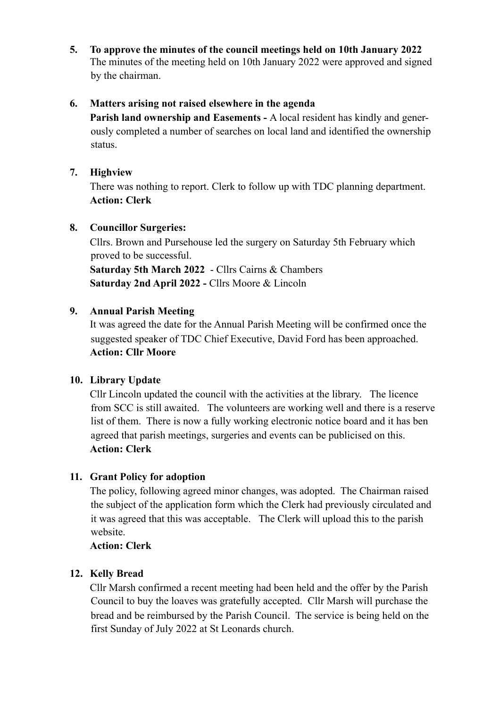**5. To approve the minutes of the council meetings held on 10th January 2022**  The minutes of the meeting held on 10th January 2022 were approved and signed by the chairman.

## **6. Matters arising not raised elsewhere in the agenda**

 **Parish land ownership and Easements -** A local resident has kindly and generously completed a number of searches on local land and identified the ownership status.

## **7. Highview**

There was nothing to report. Clerk to follow up with TDC planning department. **Action: Clerk**

## **8. Councillor Surgeries:**

Cllrs. Brown and Pursehouse led the surgery on Saturday 5th February which proved to be successful.  **Saturday 5th March 2022** - Cllrs Cairns & Chambers

 **Saturday 2nd April 2022 -** Cllrs Moore & Lincoln

## **9. Annual Parish Meeting**

It was agreed the date for the Annual Parish Meeting will be confirmed once the suggested speaker of TDC Chief Executive, David Ford has been approached. **Action: Cllr Moore**

# **10. Library Update**

Cllr Lincoln updated the council with the activities at the library. The licence from SCC is still awaited. The volunteers are working well and there is a reserve list of them. There is now a fully working electronic notice board and it has ben agreed that parish meetings, surgeries and events can be publicised on this. **Action: Clerk** 

# **11. Grant Policy for adoption**

The policy, following agreed minor changes, was adopted. The Chairman raised the subject of the application form which the Clerk had previously circulated and it was agreed that this was acceptable. The Clerk will upload this to the parish website.

## **Action: Clerk**

# **12. Kelly Bread**

Cllr Marsh confirmed a recent meeting had been held and the offer by the Parish Council to buy the loaves was gratefully accepted. Cllr Marsh will purchase the bread and be reimbursed by the Parish Council. The service is being held on the first Sunday of July 2022 at St Leonards church.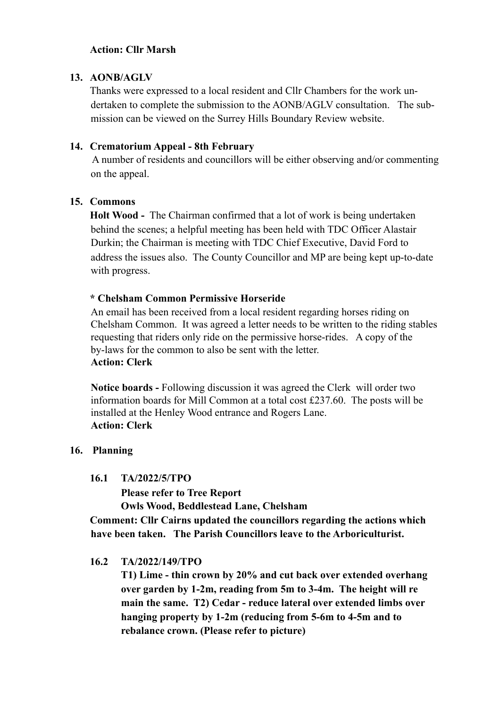#### **Action: Cllr Marsh**

#### **13. AONB/AGLV**

Thanks were expressed to a local resident and Cllr Chambers for the work undertaken to complete the submission to the AONB/AGLV consultation. The submission can be viewed on the Surrey Hills Boundary Review website.

#### **14. Crematorium Appeal - 8th February**

 A number of residents and councillors will be either observing and/or commenting on the appeal.

#### **15. Commons**

 **Holt Wood -** The Chairman confirmed that a lot of work is being undertaken behind the scenes; a helpful meeting has been held with TDC Officer Alastair Durkin; the Chairman is meeting with TDC Chief Executive, David Ford to address the issues also. The County Councillor and MP are being kept up-to-date with progress.

#### **\* Chelsham Common Permissive Horseride**

An email has been received from a local resident regarding horses riding on Chelsham Common. It was agreed a letter needs to be written to the riding stables requesting that riders only ride on the permissive horse-rides. A copy of the by-laws for the common to also be sent with the letter. **Action: Clerk** 

 **Notice boards -** Following discussion it was agreed the Clerk will order two information boards for Mill Common at a total cost £237.60. The posts will be installed at the Henley Wood entrance and Rogers Lane.  **Action: Clerk** 

#### **16. Planning**

#### **16.1 TA/2022/5/TPO**

 **Please refer to Tree Report Owls Wood, Beddlestead Lane, Chelsham** 

 **Comment: Cllr Cairns updated the councillors regarding the actions which have been taken. The Parish Councillors leave to the Arboriculturist.** 

#### **16.2 TA/2022/149/TPO**

 **T1) Lime - thin crown by 20% and cut back over extended overhang over garden by 1-2m, reading from 5m to 3-4m. The height will re main the same. T2) Cedar - reduce lateral over extended limbs over hanging property by 1-2m (reducing from 5-6m to 4-5m and to rebalance crown. (Please refer to picture)**